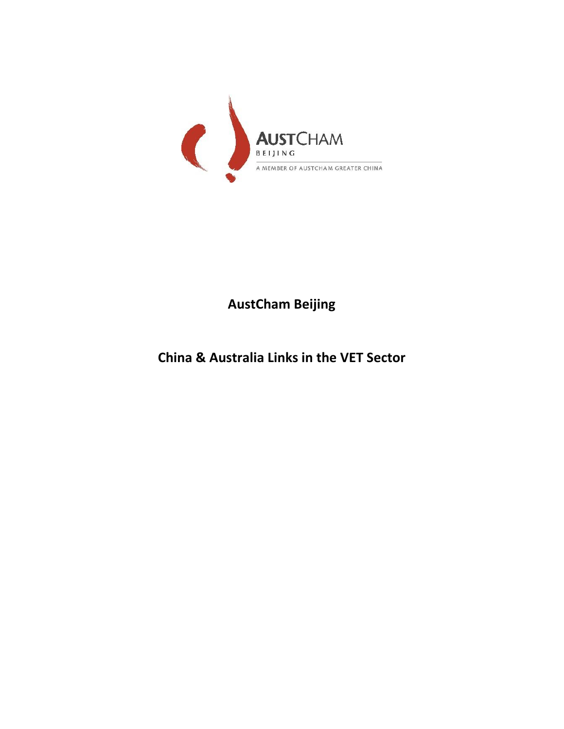

**AustCham Beijing**

**China & Australia Links in the VET Sector**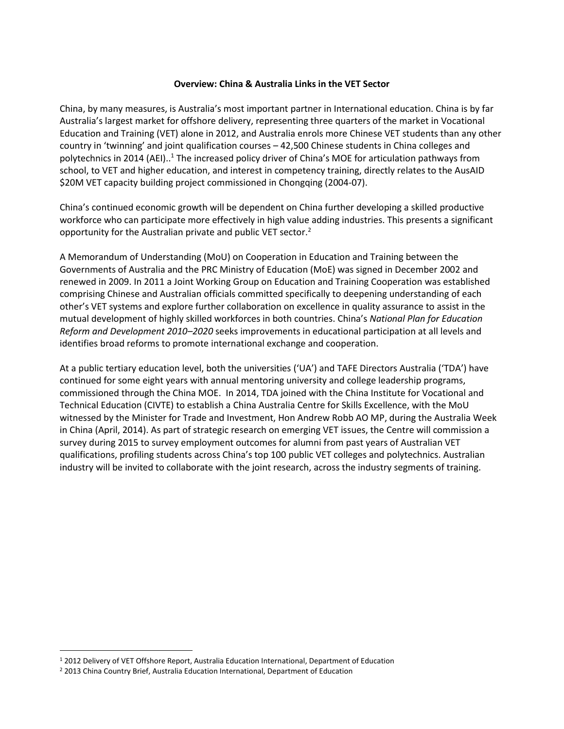## **Overview: China & Australia Links in the VET Sector**

China, by many measures, is Australia's most important partner in International education. China is by far Australia's largest market for offshore delivery, representing three quarters of the market in Vocational Education and Training (VET) alone in 2012, and Australia enrols more Chinese VET students than any other country in 'twinning' and joint qualification courses – 42,500 Chinese students in China colleges and polytechnics in 2014 (AEI)..<sup>1</sup> The increased policy driver of China's MOE for articulation pathways from school, to VET and higher education, and interest in competency training, directly relates to the AusAID \$20M VET capacity building project commissioned in Chongqing (2004-07).

China's continued economic growth will be dependent on China further developing a skilled productive workforce who can participate more effectively in high value adding industries. This presents a significant opportunity for the Australian private and public VET sector.<sup>2</sup>

A Memorandum of Understanding (MoU) on Cooperation in Education and Training between the Governments of Australia and the PRC Ministry of Education (MoE) was signed in December 2002 and renewed in 2009. In 2011 a Joint Working Group on Education and Training Cooperation was established comprising Chinese and Australian officials committed specifically to deepening understanding of each other's VET systems and explore further collaboration on excellence in quality assurance to assist in the mutual development of highly skilled workforces in both countries. China's *National Plan for Education Reform and Development 2010–2020* seeks improvements in educational participation at all levels and identifies broad reforms to promote international exchange and cooperation.

At a public tertiary education level, both the universities ('UA') and TAFE Directors Australia ('TDA') have continued for some eight years with annual mentoring university and college leadership programs, commissioned through the China MOE. In 2014, TDA joined with the China Institute for Vocational and Technical Education (CIVTE) to establish a China Australia Centre for Skills Excellence, with the MoU witnessed by the Minister for Trade and Investment, Hon Andrew Robb AO MP, during the Australia Week in China (April, 2014). As part of strategic research on emerging VET issues, the Centre will commission a survey during 2015 to survey employment outcomes for alumni from past years of Australian VET qualifications, profiling students across China's top 100 public VET colleges and polytechnics. Australian industry will be invited to collaborate with the joint research, across the industry segments of training.

 $\overline{a}$ 

<sup>1</sup> 2012 Delivery of VET Offshore Report, Australia Education International, Department of Education

<sup>2</sup> 2013 China Country Brief, Australia Education International, Department of Education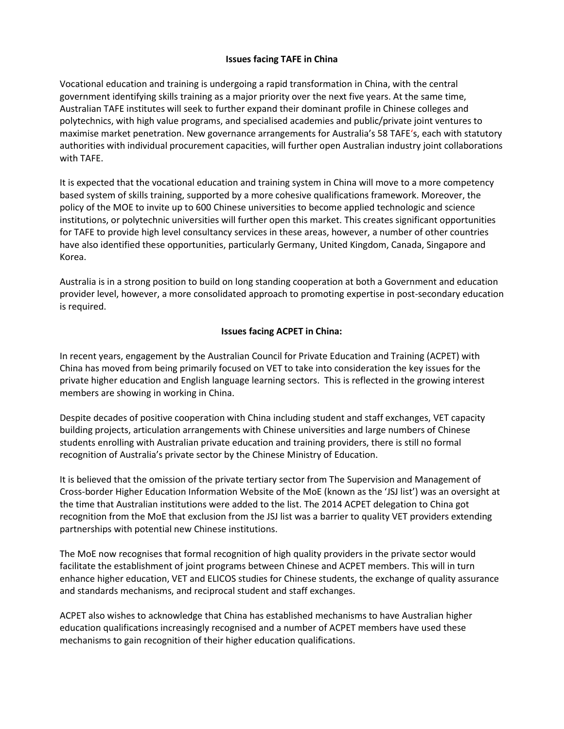## **Issues facing TAFE in China**

Vocational education and training is undergoing a rapid transformation in China, with the central government identifying skills training as a major priority over the next five years. At the same time, Australian TAFE institutes will seek to further expand their dominant profile in Chinese colleges and polytechnics, with high value programs, and specialised academies and public/private joint ventures to maximise market penetration. New governance arrangements for Australia's 58 TAFE's, each with statutory authorities with individual procurement capacities, will further open Australian industry joint collaborations with TAFE.

It is expected that the vocational education and training system in China will move to a more competency based system of skills training, supported by a more cohesive qualifications framework. Moreover, the policy of the MOE to invite up to 600 Chinese universities to become applied technologic and science institutions, or polytechnic universities will further open this market. This creates significant opportunities for TAFE to provide high level consultancy services in these areas, however, a number of other countries have also identified these opportunities, particularly Germany, United Kingdom, Canada, Singapore and Korea.

Australia is in a strong position to build on long standing cooperation at both a Government and education provider level, however, a more consolidated approach to promoting expertise in post-secondary education is required.

## **Issues facing ACPET in China:**

In recent years, engagement by the Australian Council for Private Education and Training (ACPET) with China has moved from being primarily focused on VET to take into consideration the key issues for the private higher education and English language learning sectors. This is reflected in the growing interest members are showing in working in China.

Despite decades of positive cooperation with China including student and staff exchanges, VET capacity building projects, articulation arrangements with Chinese universities and large numbers of Chinese students enrolling with Australian private education and training providers, there is still no formal recognition of Australia's private sector by the Chinese Ministry of Education.

It is believed that the omission of the private tertiary sector from The Supervision and Management of Cross-border Higher Education Information Website of the MoE (known as the 'JSJ list') was an oversight at the time that Australian institutions were added to the list. The 2014 ACPET delegation to China got recognition from the MoE that exclusion from the JSJ list was a barrier to quality VET providers extending partnerships with potential new Chinese institutions.

The MoE now recognises that formal recognition of high quality providers in the private sector would facilitate the establishment of joint programs between Chinese and ACPET members. This will in turn enhance higher education, VET and ELICOS studies for Chinese students, the exchange of quality assurance and standards mechanisms, and reciprocal student and staff exchanges.

ACPET also wishes to acknowledge that China has established mechanisms to have Australian higher education qualifications increasingly recognised and a number of ACPET members have used these mechanisms to gain recognition of their higher education qualifications.